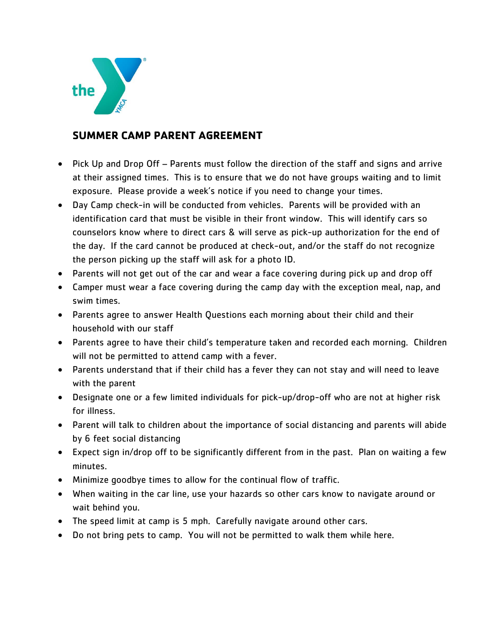

## **SUMMER CAMP PARENT AGREEMENT**

- Pick Up and Drop Off Parents must follow the direction of the staff and signs and arrive at their assigned times. This is to ensure that we do not have groups waiting and to limit exposure. Please provide a week's notice if you need to change your times.
- Day Camp check-in will be conducted from vehicles. Parents will be provided with an identification card that must be visible in their front window. This will identify cars so counselors know where to direct cars & will serve as pick-up authorization for the end of the day. If the card cannot be produced at check-out, and/or the staff do not recognize the person picking up the staff will ask for a photo ID.
- Parents will not get out of the car and wear a face covering during pick up and drop off
- Camper must wear a face covering during the camp day with the exception meal, nap, and swim times.
- Parents agree to answer Health Questions each morning about their child and their household with our staff
- Parents agree to have their child's temperature taken and recorded each morning. Children will not be permitted to attend camp with a fever.
- Parents understand that if their child has a fever they can not stay and will need to leave with the parent
- Designate one or a few limited individuals for pick-up/drop-off who are not at higher risk for illness.
- Parent will talk to children about the importance of social distancing and parents will abide by 6 feet social distancing
- Expect sign in/drop off to be significantly different from in the past. Plan on waiting a few minutes.
- Minimize goodbye times to allow for the continual flow of traffic.
- When waiting in the car line, use your hazards so other cars know to navigate around or wait behind you.
- The speed limit at camp is 5 mph. Carefully navigate around other cars.
- Do not bring pets to camp. You will not be permitted to walk them while here.